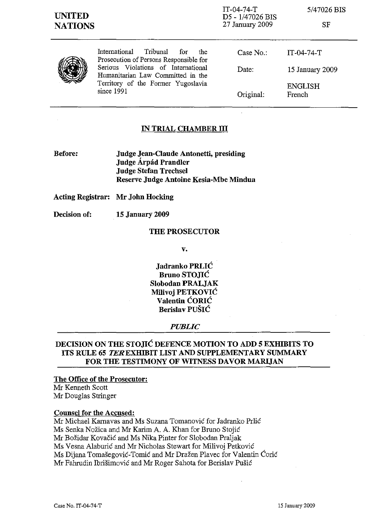IT-04-74-T D5 - 1/47026 BIS 27 January 2009

*5/47026* BIS

SF



International Tribunal for the Prosecution of Persons Responsible for Serious Violations of International Humanitarian Law Committed in the Territory of the Former Yugoslavia since 1991

| Case No.: | IT-04-74-T               |
|-----------|--------------------------|
| Date:     | 15 January 2009          |
| Original: | <b>ENGLISH</b><br>French |

# **IN TRIAL CHAMBER ID**

**Before: Judge Jean-Claude Antonetti, presiding Judge Arpad Prandler Judge Stefan Trechsel Reserve Judge Antoine Kesia-Mbe Mindua**

**Acting Registrar: Mr John Hocking**

**Decision of: 15 January 2009**

### **THE PROSECUTOR**

**v.**

**Jadranko** PRLIĆ **Bruno** STOJIĆ **Slobodan PRALJAK Milivoj** PETKOVIĆ **Valentin** ĆORIĆ **Berislav** PUŠIĆ

### *PUBLIC*

# **DECISION ON THE** STOJIĆ **DEFENCE MOTION TO ADD 5 EXHIBITS TO ITS RULE 65 TEREXHIBIT LIST AND SUPPLEMENTARY SUMMARY FOR THE TESTIMONY OF WITNESS DAVOR MARIJAN**

#### **The Office of the Prosecutor:**

Mr Kenneth Scott Mr Douglas Stringer

### **Counsel for the Accused:**

Mr Michael Karnavas and Ms Suzana Tomanović for Jadranko Prlić Ms Senka Nožica and Mr Karim A. A. Khan for Bruno Stojić Mr Božidar Kovačić and Ms Nika Pinter for Slobodan Praljak Ms Vesna Alaburić and Mr Nicholas Stewart for Milivoj Petković Ms Dijana Tomašegovič-Tomić and Mr Dražen Plavec for Valentin Ćorić Mr Fahrudin Ibrišimovič and Mr Roger Sahota for Berislav Pušić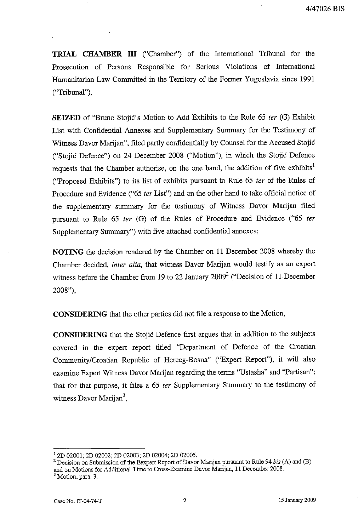TRIAL CHAMBER III ("Chamber") of the International Tribunal for the Prosecution of Persons Responsible for Serious Violations of International Humanitarian Law Committed in the Territory of the Former Yugoslavia since 1991 ("Tribunal").

**SEIZED** of "Bruno Stojić's Motion to Add Exhibits to the Rule 65 ter (G) Exhibit List with Confidential Annexes and Supplementary Summary for the Testimony of Witness Davor Marijan", filed partly confidentially by Counsel for the Accused Stojić ("Stojić Defence") on 24 December 2008 ("Motion"), in which the Stojić Defence requests that the Chamber authorise, on the one hand, the addition of five exhibits<sup>1</sup> ("Proposed Exhibits") to its list of exhibits pursuant to Rule 65 ter of the Rules of Procedure and Evidence ("65 ter List") and on the other hand to take official notice of the supplementary summary for the testimony of Witness Davor Marijan filed pursuant to Rule 65 ter (G) of the Rules of Procedure and Evidence ("65 ter Supplementary Summary") with five attached confidential annexes;

NOTING the decision rendered by the Chamber on 11 December 2008 whereby the Chamber decided, inter alia, that witness Davor Marijan would testify as an expert witness before the Chamber from 19 to 22 January 2009<sup>2</sup> ("Decision of 11 December 2008"),

CONSIDERING that the other parties did not file a response to the Motion,

**CONSIDERING** that the Stojić Defence first argues that in addition to the subjects covered in the expert report titled "Department of Defence of the Croatian Community/Croatian Republic of Herceg-Bosna" ("Expert Report"), it will also examine Expert Witness Davor Marijan regarding the terms "Ustasha" and "Partisan"; that for that purpose, it files a 65 ter Supplementary Summary to the testimony of witness Davor Marijan<sup>3</sup>,

<sup>&</sup>lt;sup>1</sup> 2D 02001; 2D 02002; 2D 02003; 2D 02004; 2D 02005.

 $2$  Decision on Submission of the Eexpert Report of Davor Marijan pursuant to Rule 94 bis (A) and (B) and on Motions for Additional Time to Cross-Examine Davor Marijan, 11 December 2008.

<sup>&</sup>lt;sup>3</sup> Motion, para. 3.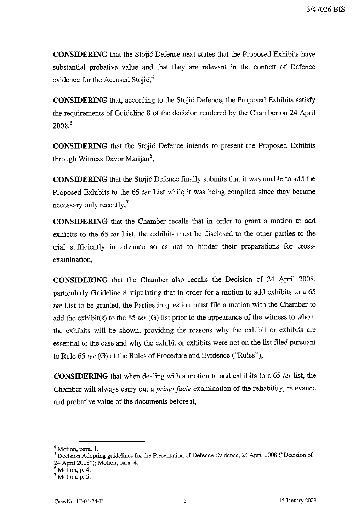**CONSIDERING** that the Stojić Defence next states that the Proposed Exhibits have substantial probative value and that they are relevant in the context of Defence evidence for the Accused Stojic,<sup>4</sup>

**CONSIDERING** that, according to the Stojić Defence, the Proposed Exhibits satisfy the requirements of Guideline 8 of the decision rendered by the Chamber on 24 April 2008.5

**CONSIDERING** that the Stojic Defence intends to present the Proposed Exhibits through Witness Davor Marijan<sup>6</sup>,

**CONSIDERING** that the Stojic Defence finally submits that it was unable to add the Proposed Exhibits to the 65 ter List while it was being compiled since they became necessary only recently, $^7$ 

CONSIDERING that the Chamber recalls that in order to grant a motion to add exhibits to the 65 ter List, the exhibits must be disclosed to the other parties to the trial sufficiently in advance so as not to hinder their preparations for crossexamination,

**CONSIDERING** that the Chamber also recalls the Decision of 24 April 2008, particularly Guideline 8 stipulating that in order for a motion to add exhibits to a 65 ter List to be granted, the Parties in question must file a motion with the Chamber to add the exhibit(s) to the 65 ter (G) list prior to the appearance of the witness to whom the exhibits will be shown, providing the reasons why the exhibit or exhibits are essential to the case and why the exhibit or exhibits were not on the list filed pursuant to Rule 65 ter (G) of the Rules of Procedure and Evidence ("Rules"),

**CONSIDERING** that when dealing with a motion to add exhibits to a 65 ter list, the Chamber will always carry out a *prima facie* examination of the reliability, relevance and probative value of the documents before it,

<sup>&</sup>lt;sup>4</sup> Motion, para. 1.

<sup>&</sup>lt;sup>5</sup> Decision Adopting guidelines for the Presentation of Defence Evidence, 24 April 2008 ("Decision of 24 April 2008"); Motion, para. 4.

 $<sup>6</sup>$  Motion, p. 4.</sup>

 $7$  Motion, p. 5.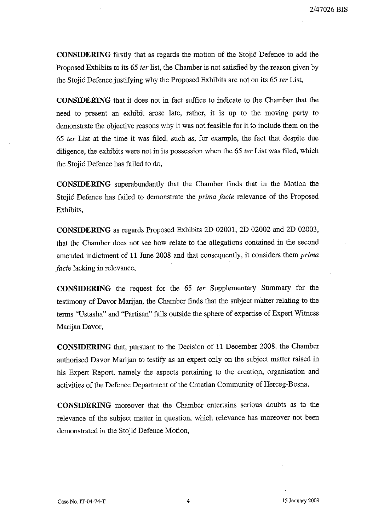**CONSIDERING** firstly that as regards the motion of the Stojić Defence to add the Proposed Exhibits to its 65 ter list, the Chamber is not satisfied by the reason given by the Stojić Defence justifying why the Proposed Exhibits are not on its 65 ter List,

**CONSIDERING** that it does not in fact suffice to indicate to the Chamber that the need to present an exhibit arose late, rather, it is up to the moving party to demonstrate the objective reasons why it was not feasible for it to include them on the 65 ter List at the time it was filed, such as, for example, the fact that despite due diligence, the exhibits were not in its possession when the 65 ter List was filed, which the Stojić Defence has failed to do,

**CONSIDERING** superabundantly that the Chamber finds that in the Motion the Stojić Defence has failed to demonstrate the *prima facie* relevance of the Proposed Exhibits.

**CONSIDERING** as regards Proposed Exhibits 2D 02001, 2D 02002 and 2D 02003, that the Chamber does not see how relate to the allegations contained in the second amended indictment of 11 June 2008 and that consequently, it considers them prima *facie* lacking in relevance,

CONSIDERING the request for the 65 ter Supplementary Summary for the testimony of Davor Marijan, the Chamber finds that the subject matter relating to the terms "Ustasha" and "Partisan" falls outside the sphere of expertise of Expert Witness Marijan Davor,

**CONSIDERING** that, pursuant to the Decision of 11 December 2008, the Chamber authorised Davor Marijan to testify as an expert only on the subject matter raised in his Expert Report, namely the aspects pertaining to the creation, organisation and activities of the Defence Department of the Croatian Community of Herceg-Bosna,

**CONSIDERING** moreover that the Chamber entertains serious doubts as to the relevance of the subject matter in question, which relevance has moreover not been demonstrated in the Stojić Defence Motion,

4